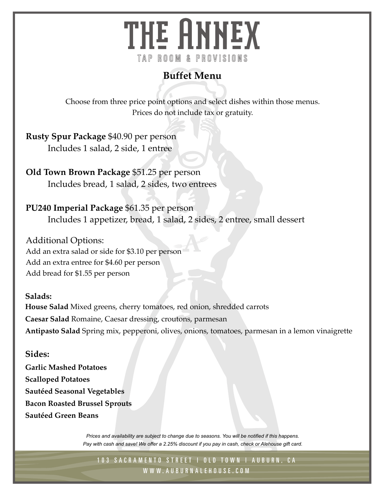# THE HNNEX TAP ROOM & PROVISIONS

## **Buffet Menu**

Choose from three price point options and select dishes within those menus. Prices do not include tax or gratuity.

**Rusty Spur Package** \$40.90 per person Includes 1 salad, 2 side, 1 entree

**Old Town Brown Package** \$51.25 per person Includes bread, 1 salad, 2 sides, two entrees

## **PU240 Imperial Package** \$61.35 per person

Includes 1 appetizer, bread, 1 salad, 2 sides, 2 entree, small dessert

Additional Options: Add an extra salad or side for \$3.10 per person Add an extra entree for \$4.60 per person Add bread for \$1.55 per person

**Salads:** 

**House Salad** Mixed greens, cherry tomatoes, red onion, shredded carrots **Caesar Salad** Romaine, Caesar dressing, croutons, parmesan **Antipasto Salad** Spring mix, pepperoni, olives, onions, tomatoes, parmesan in a lemon vinaigrette

### **Sides:**

**Garlic Mashed Potatoes Scalloped Potatoes Sautéed Seasonal Vegetables Bacon Roasted Brussel Sprouts Sautéed Green Beans** 

> *Prices and availability are subject to change due to seasons. You will be notified if this happens. Pay with cash and save! We offer a 2.25% discount if you pay in cash, check or Alehouse gift card.*

103 SACRAMENTO STREET | OLD TOWN | AUBURN, CA W W W. AU B U R N A L E H O U S E . C O M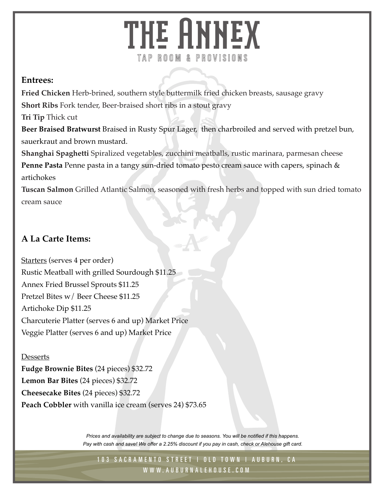# THE ANNEX TAP ROOM & PROVISIONS

### **Entrees:**

**Fried Chicken** Herb-brined, southern style buttermilk fried chicken breasts, sausage gravy **Short Ribs** Fork tender, Beer-braised short ribs in a stout gravy

**Tri Tip** Thick cut

**Beer Braised Bratwurst** Braised in Rusty Spur Lager, then charbroiled and served with pretzel bun, sauerkraut and brown mustard.

**Shanghai Spaghetti** Spiralized vegetables, zucchini meatballs, rustic marinara, parmesan cheese **Penne Pasta** Penne pasta in a tangy sun-dried tomato pesto cream sauce with capers, spinach & artichokes

**Tuscan Salmon** Grilled Atlantic Salmon, seasoned with fresh herbs and topped with sun dried tomato cream sauce

## **A La Carte Items:**

Starters (serves 4 per order) Rustic Meatball with grilled Sourdough \$11.25 Annex Fried Brussel Sprouts \$11.25 Pretzel Bites w/ Beer Cheese \$11.25 Artichoke Dip \$11.25 Charcuterie Platter (serves 6 and up) Market Price Veggie Platter (serves 6 and up) Market Price

### **Desserts**

**Fudge Brownie Bites** (24 pieces) \$32.72 **Lemon Bar Bites** (24 pieces) \$32.72 **Cheesecake Bites** (24 pieces) \$32.72 **Peach Cobbler** with vanilla ice cream (serves 24) \$73.65

> *Prices and availability are subject to change due to seasons. You will be notified if this happens. Pay with cash and save! We offer a 2.25% discount if you pay in cash, check or Alehouse gift card.*

103 SACRAMENTO STREET | OLD TOWN | AUBURN, CA W W W. AU B U R N A L E H O U S E . C O M